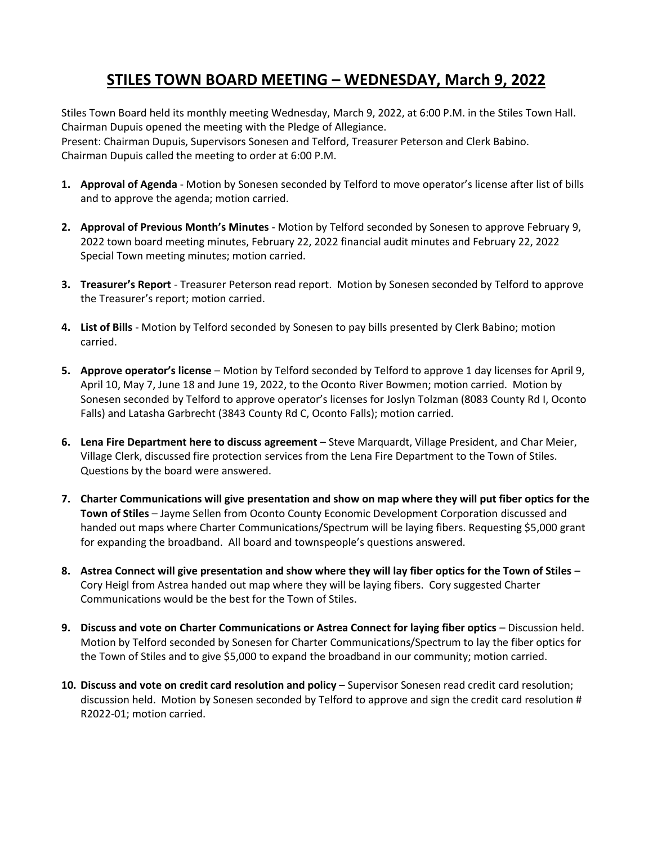## **STILES TOWN BOARD MEETING – WEDNESDAY, March 9, 2022**

Stiles Town Board held its monthly meeting Wednesday, March 9, 2022, at 6:00 P.M. in the Stiles Town Hall. Chairman Dupuis opened the meeting with the Pledge of Allegiance.

Present: Chairman Dupuis, Supervisors Sonesen and Telford, Treasurer Peterson and Clerk Babino. Chairman Dupuis called the meeting to order at 6:00 P.M.

- **1. Approval of Agenda** Motion by Sonesen seconded by Telford to move operator's license after list of bills and to approve the agenda; motion carried.
- **2. Approval of Previous Month's Minutes** Motion by Telford seconded by Sonesen to approve February 9, 2022 town board meeting minutes, February 22, 2022 financial audit minutes and February 22, 2022 Special Town meeting minutes; motion carried.
- **3. Treasurer's Report** Treasurer Peterson read report. Motion by Sonesen seconded by Telford to approve the Treasurer's report; motion carried.
- **4. List of Bills** Motion by Telford seconded by Sonesen to pay bills presented by Clerk Babino; motion carried.
- **5. Approve operator's license** Motion by Telford seconded by Telford to approve 1 day licenses for April 9, April 10, May 7, June 18 and June 19, 2022, to the Oconto River Bowmen; motion carried. Motion by Sonesen seconded by Telford to approve operator's licenses for Joslyn Tolzman (8083 County Rd I, Oconto Falls) and Latasha Garbrecht (3843 County Rd C, Oconto Falls); motion carried.
- **6. Lena Fire Department here to discuss agreement** Steve Marquardt, Village President, and Char Meier, Village Clerk, discussed fire protection services from the Lena Fire Department to the Town of Stiles. Questions by the board were answered.
- **7. Charter Communications will give presentation and show on map where they will put fiber optics for the Town of Stiles** – Jayme Sellen from Oconto County Economic Development Corporation discussed and handed out maps where Charter Communications/Spectrum will be laying fibers. Requesting \$5,000 grant for expanding the broadband. All board and townspeople's questions answered.
- **8. Astrea Connect will give presentation and show where they will lay fiber optics for the Town of Stiles** Cory Heigl from Astrea handed out map where they will be laying fibers. Cory suggested Charter Communications would be the best for the Town of Stiles.
- **9. Discuss and vote on Charter Communications or Astrea Connect for laying fiber optics** Discussion held. Motion by Telford seconded by Sonesen for Charter Communications/Spectrum to lay the fiber optics for the Town of Stiles and to give \$5,000 to expand the broadband in our community; motion carried.
- **10. Discuss and vote on credit card resolution and policy** Supervisor Sonesen read credit card resolution; discussion held. Motion by Sonesen seconded by Telford to approve and sign the credit card resolution # R2022-01; motion carried.